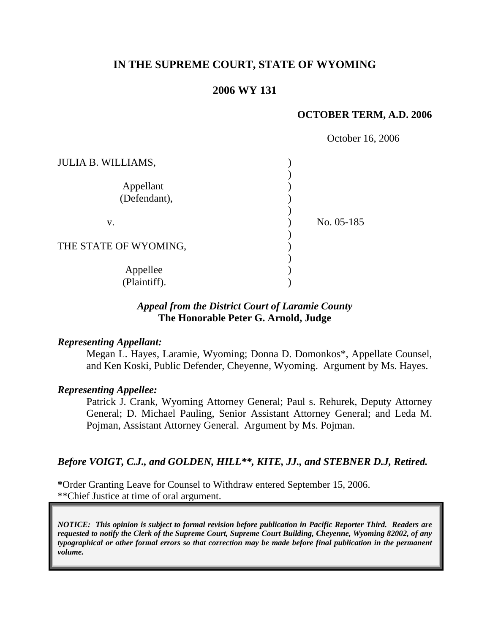# **IN THE SUPREME COURT, STATE OF WYOMING**

## **2006 WY 131**

### **OCTOBER TERM, A.D. 2006**

|                           | October 16, 2006 |
|---------------------------|------------------|
| <b>JULIA B. WILLIAMS,</b> |                  |
| Appellant<br>(Defendant), |                  |
| V.                        | No. 05-185       |
| THE STATE OF WYOMING,     |                  |
| Appellee<br>(Plaintiff).  |                  |

# *Appeal from the District Court of Laramie County* **The Honorable Peter G. Arnold, Judge**

### *Representing Appellant:*

Megan L. Hayes, Laramie, Wyoming; Donna D. Domonkos\*, Appellate Counsel, and Ken Koski, Public Defender, Cheyenne, Wyoming. Argument by Ms. Hayes.

### *Representing Appellee:*

Patrick J. Crank, Wyoming Attorney General; Paul s. Rehurek, Deputy Attorney General; D. Michael Pauling, Senior Assistant Attorney General; and Leda M. Pojman, Assistant Attorney General. Argument by Ms. Pojman.

# *Before VOIGT, C.J., and GOLDEN, HILL\*\*, KITE, JJ., and STEBNER D.J, Retired.*

**\***Order Granting Leave for Counsel to Withdraw entered September 15, 2006. \*\*Chief Justice at time of oral argument.

*NOTICE: This opinion is subject to formal revision before publication in Pacific Reporter Third. Readers are requested to notify the Clerk of the Supreme Court, Supreme Court Building, Cheyenne, Wyoming 82002, of any typographical or other formal errors so that correction may be made before final publication in the permanent volume.*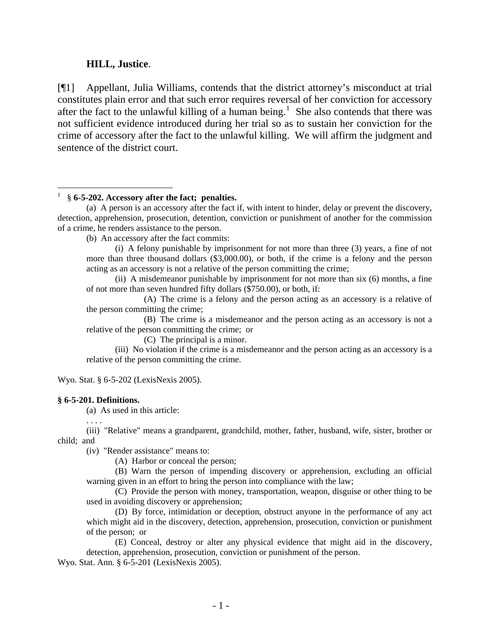### **HILL, Justice**.

[¶1] Appellant, Julia Williams, contends that the district attorney's misconduct at trial constitutes plain error and that such error requires reversal of her conviction for accessory after the fact to the unlawful killing of a human being.<sup>[1](#page-2-0)</sup> She also contends that there was not sufficient evidence introduced during her trial so as to sustain her conviction for the crime of accessory after the fact to the unlawful killing. We will affirm the judgment and sentence of the district court.

<span id="page-2-0"></span>1 § **6-5-202. Accessory after the fact; penalties.**

(b) An accessory after the fact commits:

(i) A felony punishable by imprisonment for not more than three (3) years, a fine of not more than three thousand dollars (\$3,000.00), or both, if the crime is a felony and the person acting as an accessory is not a relative of the person committing the crime;

(ii) A misdemeanor punishable by imprisonment for not more than six (6) months, a fine of not more than seven hundred fifty dollars (\$750.00), or both, if:

(A) The crime is a felony and the person acting as an accessory is a relative of the person committing the crime;

(B) The crime is a misdemeanor and the person acting as an accessory is not a relative of the person committing the crime; or

(C) The principal is a minor.

(iii) No violation if the crime is a misdemeanor and the person acting as an accessory is a relative of the person committing the crime.

Wyo. Stat. § 6-5-202 (LexisNexis 2005).

#### **§ 6-5-201. Definitions.**

(a) As used in this article:

. . . .

 $\overline{a}$ 

 (iii) "Relative" means a grandparent, grandchild, mother, father, husband, wife, sister, brother or child; and

(iv) "Render assistance" means to:

(A) Harbor or conceal the person;

 (B) Warn the person of impending discovery or apprehension, excluding an official warning given in an effort to bring the person into compliance with the law;

(C) Provide the person with money, transportation, weapon, disguise or other thing to be used in avoiding discovery or apprehension;

(D) By force, intimidation or deception, obstruct anyone in the performance of any act which might aid in the discovery, detection, apprehension, prosecution, conviction or punishment of the person; or

(E) Conceal, destroy or alter any physical evidence that might aid in the discovery, detection, apprehension, prosecution, conviction or punishment of the person.

Wyo. Stat. Ann. § 6-5-201 (LexisNexis 2005).

 <sup>(</sup>a) A person is an accessory after the fact if, with intent to hinder, delay or prevent the discovery, detection, apprehension, prosecution, detention, conviction or punishment of another for the commission of a crime, he renders assistance to the person.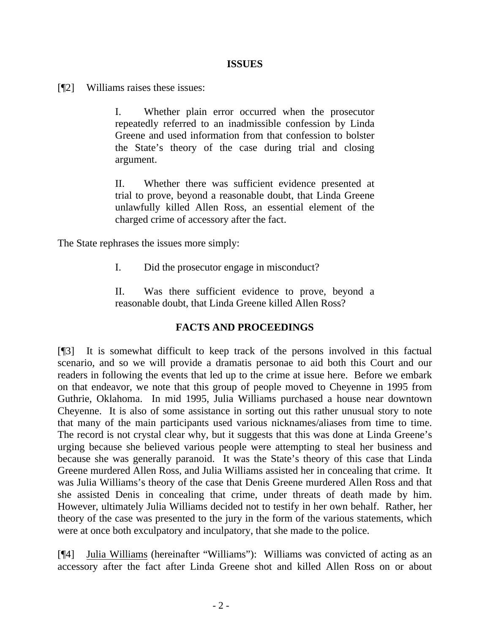### **ISSUES**

[¶2] Williams raises these issues:

I. Whether plain error occurred when the prosecutor repeatedly referred to an inadmissible confession by Linda Greene and used information from that confession to bolster the State's theory of the case during trial and closing argument.

II. Whether there was sufficient evidence presented at trial to prove, beyond a reasonable doubt, that Linda Greene unlawfully killed Allen Ross, an essential element of the charged crime of accessory after the fact.

The State rephrases the issues more simply:

I. Did the prosecutor engage in misconduct?

II. Was there sufficient evidence to prove, beyond a reasonable doubt, that Linda Greene killed Allen Ross?

### **FACTS AND PROCEEDINGS**

[¶3] It is somewhat difficult to keep track of the persons involved in this factual scenario, and so we will provide a dramatis personae to aid both this Court and our readers in following the events that led up to the crime at issue here. Before we embark on that endeavor, we note that this group of people moved to Cheyenne in 1995 from Guthrie, Oklahoma. In mid 1995, Julia Williams purchased a house near downtown Cheyenne. It is also of some assistance in sorting out this rather unusual story to note that many of the main participants used various nicknames/aliases from time to time. The record is not crystal clear why, but it suggests that this was done at Linda Greene's urging because she believed various people were attempting to steal her business and because she was generally paranoid. It was the State's theory of this case that Linda Greene murdered Allen Ross, and Julia Williams assisted her in concealing that crime. It was Julia Williams's theory of the case that Denis Greene murdered Allen Ross and that she assisted Denis in concealing that crime, under threats of death made by him. However, ultimately Julia Williams decided not to testify in her own behalf. Rather, her theory of the case was presented to the jury in the form of the various statements, which were at once both exculpatory and inculpatory, that she made to the police.

[¶4] Julia Williams (hereinafter "Williams"): Williams was convicted of acting as an accessory after the fact after Linda Greene shot and killed Allen Ross on or about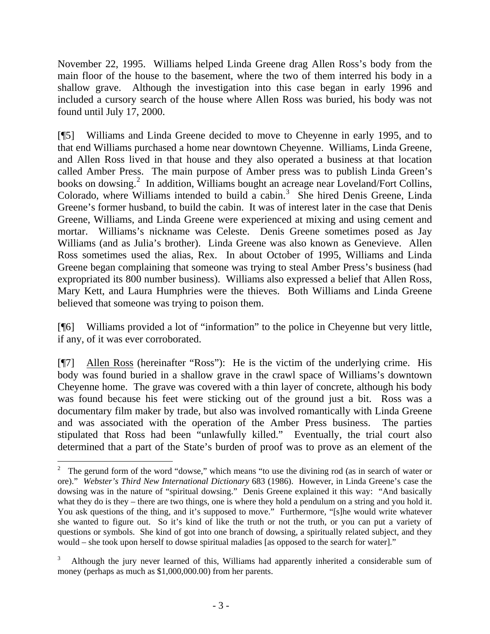November 22, 1995. Williams helped Linda Greene drag Allen Ross's body from the main floor of the house to the basement, where the two of them interred his body in a shallow grave. Although the investigation into this case began in early 1996 and included a cursory search of the house where Allen Ross was buried, his body was not found until July 17, 2000.

[¶5] Williams and Linda Greene decided to move to Cheyenne in early 1995, and to that end Williams purchased a home near downtown Cheyenne. Williams, Linda Greene, and Allen Ross lived in that house and they also operated a business at that location called Amber Press. The main purpose of Amber press was to publish Linda Green's books on dowsing.<sup>[2](#page-4-0)</sup> In addition, Williams bought an acreage near Loveland/Fort Collins, Colorado, where Williams intended to build a cabin.<sup>[3](#page-4-1)</sup> She hired Denis Greene, Linda Greene's former husband, to build the cabin. It was of interest later in the case that Denis Greene, Williams, and Linda Greene were experienced at mixing and using cement and mortar. Williams's nickname was Celeste. Denis Greene sometimes posed as Jay Williams (and as Julia's brother). Linda Greene was also known as Genevieve. Allen Ross sometimes used the alias, Rex. In about October of 1995, Williams and Linda Greene began complaining that someone was trying to steal Amber Press's business (had expropriated its 800 number business). Williams also expressed a belief that Allen Ross, Mary Kett, and Laura Humphries were the thieves. Both Williams and Linda Greene believed that someone was trying to poison them.

[¶6] Williams provided a lot of "information" to the police in Cheyenne but very little, if any, of it was ever corroborated.

[¶7] Allen Ross (hereinafter "Ross"): He is the victim of the underlying crime. His body was found buried in a shallow grave in the crawl space of Williams's downtown Cheyenne home. The grave was covered with a thin layer of concrete, although his body was found because his feet were sticking out of the ground just a bit. Ross was a documentary film maker by trade, but also was involved romantically with Linda Greene and was associated with the operation of the Amber Press business. The parties stipulated that Ross had been "unlawfully killed." Eventually, the trial court also determined that a part of the State's burden of proof was to prove as an element of the

l

<span id="page-4-0"></span><sup>2</sup> The gerund form of the word "dowse," which means "to use the divining rod (as in search of water or ore)." *Webster's Third New International Dictionary* 683 (1986). However, in Linda Greene's case the dowsing was in the nature of "spiritual dowsing." Denis Greene explained it this way: "And basically what they do is they – there are two things, one is where they hold a pendulum on a string and you hold it. You ask questions of the thing, and it's supposed to move." Furthermore, "[s]he would write whatever she wanted to figure out. So it's kind of like the truth or not the truth, or you can put a variety of questions or symbols. She kind of got into one branch of dowsing, a spiritually related subject, and they would – she took upon herself to dowse spiritual maladies [as opposed to the search for water]."

<span id="page-4-1"></span><sup>3</sup> Although the jury never learned of this, Williams had apparently inherited a considerable sum of money (perhaps as much as \$1,000,000.00) from her parents.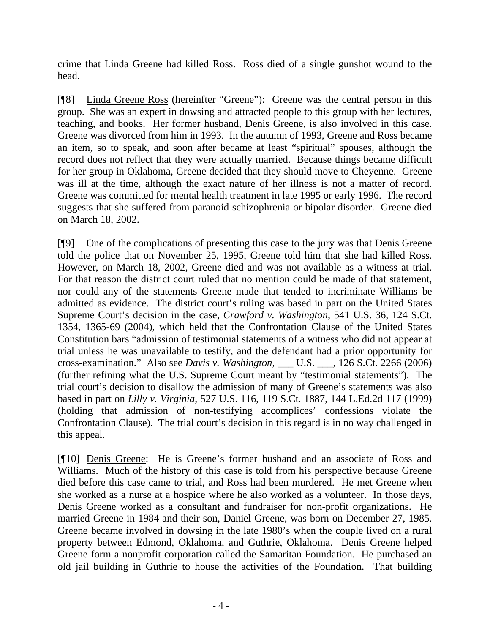crime that Linda Greene had killed Ross. Ross died of a single gunshot wound to the head.

[¶8] Linda Greene Ross (hereinfter "Greene"): Greene was the central person in this group. She was an expert in dowsing and attracted people to this group with her lectures, teaching, and books. Her former husband, Denis Greene, is also involved in this case. Greene was divorced from him in 1993. In the autumn of 1993, Greene and Ross became an item, so to speak, and soon after became at least "spiritual" spouses, although the record does not reflect that they were actually married. Because things became difficult for her group in Oklahoma, Greene decided that they should move to Cheyenne. Greene was ill at the time, although the exact nature of her illness is not a matter of record. Greene was committed for mental health treatment in late 1995 or early 1996. The record suggests that she suffered from paranoid schizophrenia or bipolar disorder. Greene died on March 18, 2002.

[¶9] One of the complications of presenting this case to the jury was that Denis Greene told the police that on November 25, 1995, Greene told him that she had killed Ross. However, on March 18, 2002, Greene died and was not available as a witness at trial. For that reason the district court ruled that no mention could be made of that statement, nor could any of the statements Greene made that tended to incriminate Williams be admitted as evidence. The district court's ruling was based in part on the United States Supreme Court's decision in the case, *Crawford v. Washington*, 541 U.S. 36, 124 S.Ct. 1354, 1365-69 (2004), which held that the Confrontation Clause of the United States Constitution bars "admission of testimonial statements of a witness who did not appear at trial unless he was unavailable to testify, and the defendant had a prior opportunity for cross-examination." Also see *Davis v. Washington*, \_\_\_ U.S. \_\_\_, 126 S.Ct. 2266 (2006) (further refining what the U.S. Supreme Court meant by "testimonial statements"). The trial court's decision to disallow the admission of many of Greene's statements was also based in part on *Lilly v. Virginia*, 527 U.S. 116, 119 S.Ct. 1887, 144 L.Ed.2d 117 (1999) (holding that admission of non-testifying accomplices' confessions violate the Confrontation Clause). The trial court's decision in this regard is in no way challenged in this appeal.

[¶10] Denis Greene: He is Greene's former husband and an associate of Ross and Williams. Much of the history of this case is told from his perspective because Greene died before this case came to trial, and Ross had been murdered. He met Greene when she worked as a nurse at a hospice where he also worked as a volunteer. In those days, Denis Greene worked as a consultant and fundraiser for non-profit organizations. He married Greene in 1984 and their son, Daniel Greene, was born on December 27, 1985. Greene became involved in dowsing in the late 1980's when the couple lived on a rural property between Edmond, Oklahoma, and Guthrie, Oklahoma. Denis Greene helped Greene form a nonprofit corporation called the Samaritan Foundation. He purchased an old jail building in Guthrie to house the activities of the Foundation. That building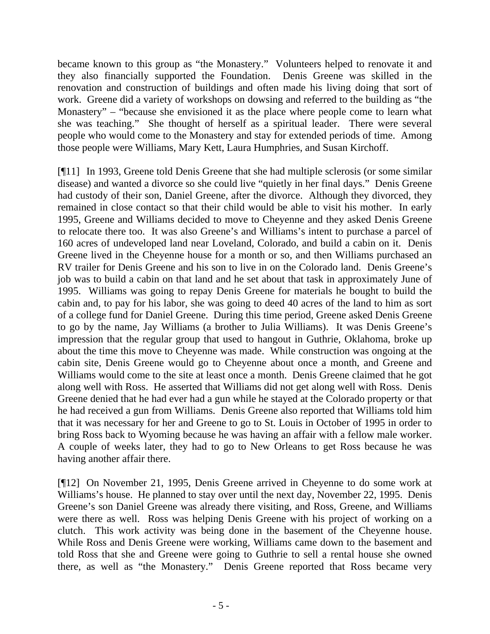became known to this group as "the Monastery." Volunteers helped to renovate it and they also financially supported the Foundation. Denis Greene was skilled in the renovation and construction of buildings and often made his living doing that sort of work. Greene did a variety of workshops on dowsing and referred to the building as "the Monastery" – "because she envisioned it as the place where people come to learn what she was teaching." She thought of herself as a spiritual leader. There were several people who would come to the Monastery and stay for extended periods of time. Among those people were Williams, Mary Kett, Laura Humphries, and Susan Kirchoff.

[¶11] In 1993, Greene told Denis Greene that she had multiple sclerosis (or some similar disease) and wanted a divorce so she could live "quietly in her final days." Denis Greene had custody of their son, Daniel Greene, after the divorce. Although they divorced, they remained in close contact so that their child would be able to visit his mother. In early 1995, Greene and Williams decided to move to Cheyenne and they asked Denis Greene to relocate there too. It was also Greene's and Williams's intent to purchase a parcel of 160 acres of undeveloped land near Loveland, Colorado, and build a cabin on it. Denis Greene lived in the Cheyenne house for a month or so, and then Williams purchased an RV trailer for Denis Greene and his son to live in on the Colorado land. Denis Greene's job was to build a cabin on that land and he set about that task in approximately June of 1995. Williams was going to repay Denis Greene for materials he bought to build the cabin and, to pay for his labor, she was going to deed 40 acres of the land to him as sort of a college fund for Daniel Greene. During this time period, Greene asked Denis Greene to go by the name, Jay Williams (a brother to Julia Williams). It was Denis Greene's impression that the regular group that used to hangout in Guthrie, Oklahoma, broke up about the time this move to Cheyenne was made. While construction was ongoing at the cabin site, Denis Greene would go to Cheyenne about once a month, and Greene and Williams would come to the site at least once a month. Denis Greene claimed that he got along well with Ross. He asserted that Williams did not get along well with Ross. Denis Greene denied that he had ever had a gun while he stayed at the Colorado property or that he had received a gun from Williams. Denis Greene also reported that Williams told him that it was necessary for her and Greene to go to St. Louis in October of 1995 in order to bring Ross back to Wyoming because he was having an affair with a fellow male worker. A couple of weeks later, they had to go to New Orleans to get Ross because he was having another affair there.

[¶12] On November 21, 1995, Denis Greene arrived in Cheyenne to do some work at Williams's house. He planned to stay over until the next day, November 22, 1995. Denis Greene's son Daniel Greene was already there visiting, and Ross, Greene, and Williams were there as well. Ross was helping Denis Greene with his project of working on a clutch. This work activity was being done in the basement of the Cheyenne house. While Ross and Denis Greene were working, Williams came down to the basement and told Ross that she and Greene were going to Guthrie to sell a rental house she owned there, as well as "the Monastery." Denis Greene reported that Ross became very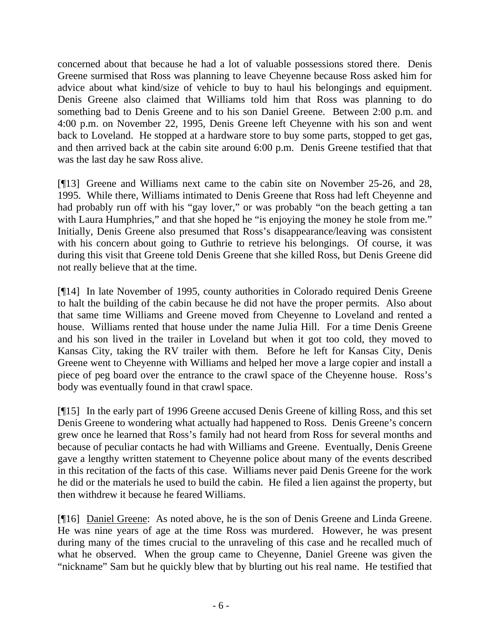concerned about that because he had a lot of valuable possessions stored there. Denis Greene surmised that Ross was planning to leave Cheyenne because Ross asked him for advice about what kind/size of vehicle to buy to haul his belongings and equipment. Denis Greene also claimed that Williams told him that Ross was planning to do something bad to Denis Greene and to his son Daniel Greene. Between 2:00 p.m. and 4:00 p.m. on November 22, 1995, Denis Greene left Cheyenne with his son and went back to Loveland. He stopped at a hardware store to buy some parts, stopped to get gas, and then arrived back at the cabin site around 6:00 p.m. Denis Greene testified that that was the last day he saw Ross alive.

[¶13] Greene and Williams next came to the cabin site on November 25-26, and 28, 1995. While there, Williams intimated to Denis Greene that Ross had left Cheyenne and had probably run off with his "gay lover," or was probably "on the beach getting a tan with Laura Humphries," and that she hoped he "is enjoying the money he stole from me." Initially, Denis Greene also presumed that Ross's disappearance/leaving was consistent with his concern about going to Guthrie to retrieve his belongings. Of course, it was during this visit that Greene told Denis Greene that she killed Ross, but Denis Greene did not really believe that at the time.

[¶14] In late November of 1995, county authorities in Colorado required Denis Greene to halt the building of the cabin because he did not have the proper permits. Also about that same time Williams and Greene moved from Cheyenne to Loveland and rented a house. Williams rented that house under the name Julia Hill. For a time Denis Greene and his son lived in the trailer in Loveland but when it got too cold, they moved to Kansas City, taking the RV trailer with them. Before he left for Kansas City, Denis Greene went to Cheyenne with Williams and helped her move a large copier and install a piece of peg board over the entrance to the crawl space of the Cheyenne house. Ross's body was eventually found in that crawl space.

[¶15] In the early part of 1996 Greene accused Denis Greene of killing Ross, and this set Denis Greene to wondering what actually had happened to Ross. Denis Greene's concern grew once he learned that Ross's family had not heard from Ross for several months and because of peculiar contacts he had with Williams and Greene. Eventually, Denis Greene gave a lengthy written statement to Cheyenne police about many of the events described in this recitation of the facts of this case. Williams never paid Denis Greene for the work he did or the materials he used to build the cabin. He filed a lien against the property, but then withdrew it because he feared Williams.

[¶16] Daniel Greene: As noted above, he is the son of Denis Greene and Linda Greene. He was nine years of age at the time Ross was murdered. However, he was present during many of the times crucial to the unraveling of this case and he recalled much of what he observed. When the group came to Cheyenne, Daniel Greene was given the "nickname" Sam but he quickly blew that by blurting out his real name. He testified that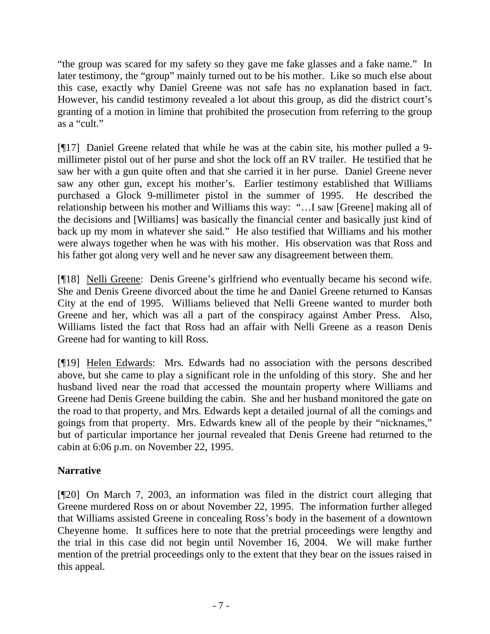"the group was scared for my safety so they gave me fake glasses and a fake name." In later testimony, the "group" mainly turned out to be his mother. Like so much else about this case, exactly why Daniel Greene was not safe has no explanation based in fact. However, his candid testimony revealed a lot about this group, as did the district court's granting of a motion in limine that prohibited the prosecution from referring to the group as a "cult."

[¶17] Daniel Greene related that while he was at the cabin site, his mother pulled a 9 millimeter pistol out of her purse and shot the lock off an RV trailer. He testified that he saw her with a gun quite often and that she carried it in her purse. Daniel Greene never saw any other gun, except his mother's. Earlier testimony established that Williams purchased a Glock 9-millimeter pistol in the summer of 1995. He described the relationship between his mother and Williams this way: "…I saw [Greene] making all of the decisions and [Williams] was basically the financial center and basically just kind of back up my mom in whatever she said." He also testified that Williams and his mother were always together when he was with his mother. His observation was that Ross and his father got along very well and he never saw any disagreement between them.

[¶18] Nelli Greene: Denis Greene's girlfriend who eventually became his second wife. She and Denis Greene divorced about the time he and Daniel Greene returned to Kansas City at the end of 1995. Williams believed that Nelli Greene wanted to murder both Greene and her, which was all a part of the conspiracy against Amber Press. Also, Williams listed the fact that Ross had an affair with Nelli Greene as a reason Denis Greene had for wanting to kill Ross.

[¶19] Helen Edwards: Mrs. Edwards had no association with the persons described above, but she came to play a significant role in the unfolding of this story. She and her husband lived near the road that accessed the mountain property where Williams and Greene had Denis Greene building the cabin. She and her husband monitored the gate on the road to that property, and Mrs. Edwards kept a detailed journal of all the comings and goings from that property. Mrs. Edwards knew all of the people by their "nicknames," but of particular importance her journal revealed that Denis Greene had returned to the cabin at 6:06 p.m. on November 22, 1995.

# **Narrative**

[¶20] On March 7, 2003, an information was filed in the district court alleging that Greene murdered Ross on or about November 22, 1995. The information further alleged that Williams assisted Greene in concealing Ross's body in the basement of a downtown Cheyenne home. It suffices here to note that the pretrial proceedings were lengthy and the trial in this case did not begin until November 16, 2004. We will make further mention of the pretrial proceedings only to the extent that they bear on the issues raised in this appeal.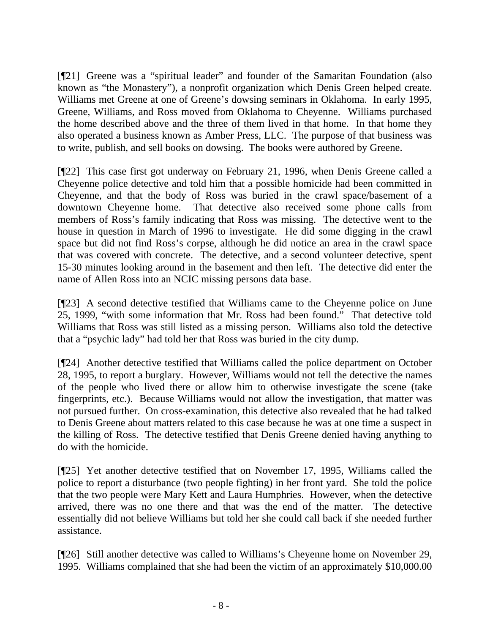[¶21] Greene was a "spiritual leader" and founder of the Samaritan Foundation (also known as "the Monastery"), a nonprofit organization which Denis Green helped create. Williams met Greene at one of Greene's dowsing seminars in Oklahoma. In early 1995, Greene, Williams, and Ross moved from Oklahoma to Cheyenne. Williams purchased the home described above and the three of them lived in that home. In that home they also operated a business known as Amber Press, LLC. The purpose of that business was to write, publish, and sell books on dowsing. The books were authored by Greene.

[¶22] This case first got underway on February 21, 1996, when Denis Greene called a Cheyenne police detective and told him that a possible homicide had been committed in Cheyenne, and that the body of Ross was buried in the crawl space/basement of a downtown Cheyenne home. That detective also received some phone calls from members of Ross's family indicating that Ross was missing. The detective went to the house in question in March of 1996 to investigate. He did some digging in the crawl space but did not find Ross's corpse, although he did notice an area in the crawl space that was covered with concrete. The detective, and a second volunteer detective, spent 15-30 minutes looking around in the basement and then left. The detective did enter the name of Allen Ross into an NCIC missing persons data base.

[¶23] A second detective testified that Williams came to the Cheyenne police on June 25, 1999, "with some information that Mr. Ross had been found." That detective told Williams that Ross was still listed as a missing person. Williams also told the detective that a "psychic lady" had told her that Ross was buried in the city dump.

[¶24] Another detective testified that Williams called the police department on October 28, 1995, to report a burglary. However, Williams would not tell the detective the names of the people who lived there or allow him to otherwise investigate the scene (take fingerprints, etc.). Because Williams would not allow the investigation, that matter was not pursued further. On cross-examination, this detective also revealed that he had talked to Denis Greene about matters related to this case because he was at one time a suspect in the killing of Ross. The detective testified that Denis Greene denied having anything to do with the homicide.

[¶25] Yet another detective testified that on November 17, 1995, Williams called the police to report a disturbance (two people fighting) in her front yard. She told the police that the two people were Mary Kett and Laura Humphries. However, when the detective arrived, there was no one there and that was the end of the matter. The detective essentially did not believe Williams but told her she could call back if she needed further assistance.

[¶26] Still another detective was called to Williams's Cheyenne home on November 29, 1995. Williams complained that she had been the victim of an approximately \$10,000.00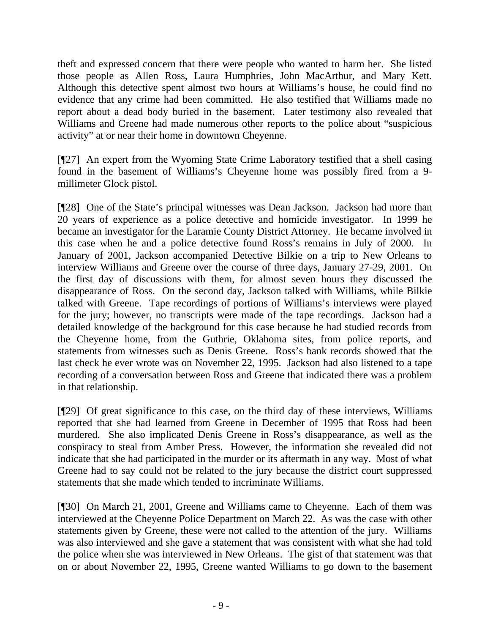theft and expressed concern that there were people who wanted to harm her. She listed those people as Allen Ross, Laura Humphries, John MacArthur, and Mary Kett. Although this detective spent almost two hours at Williams's house, he could find no evidence that any crime had been committed. He also testified that Williams made no report about a dead body buried in the basement. Later testimony also revealed that Williams and Greene had made numerous other reports to the police about "suspicious activity" at or near their home in downtown Cheyenne.

[¶27] An expert from the Wyoming State Crime Laboratory testified that a shell casing found in the basement of Williams's Cheyenne home was possibly fired from a 9 millimeter Glock pistol.

[¶28] One of the State's principal witnesses was Dean Jackson. Jackson had more than 20 years of experience as a police detective and homicide investigator. In 1999 he became an investigator for the Laramie County District Attorney. He became involved in this case when he and a police detective found Ross's remains in July of 2000. In January of 2001, Jackson accompanied Detective Bilkie on a trip to New Orleans to interview Williams and Greene over the course of three days, January 27-29, 2001. On the first day of discussions with them, for almost seven hours they discussed the disappearance of Ross. On the second day, Jackson talked with Williams, while Bilkie talked with Greene. Tape recordings of portions of Williams's interviews were played for the jury; however, no transcripts were made of the tape recordings. Jackson had a detailed knowledge of the background for this case because he had studied records from the Cheyenne home, from the Guthrie, Oklahoma sites, from police reports, and statements from witnesses such as Denis Greene. Ross's bank records showed that the last check he ever wrote was on November 22, 1995. Jackson had also listened to a tape recording of a conversation between Ross and Greene that indicated there was a problem in that relationship.

[¶29] Of great significance to this case, on the third day of these interviews, Williams reported that she had learned from Greene in December of 1995 that Ross had been murdered. She also implicated Denis Greene in Ross's disappearance, as well as the conspiracy to steal from Amber Press. However, the information she revealed did not indicate that she had participated in the murder or its aftermath in any way. Most of what Greene had to say could not be related to the jury because the district court suppressed statements that she made which tended to incriminate Williams.

[¶30] On March 21, 2001, Greene and Williams came to Cheyenne. Each of them was interviewed at the Cheyenne Police Department on March 22. As was the case with other statements given by Greene, these were not called to the attention of the jury. Williams was also interviewed and she gave a statement that was consistent with what she had told the police when she was interviewed in New Orleans. The gist of that statement was that on or about November 22, 1995, Greene wanted Williams to go down to the basement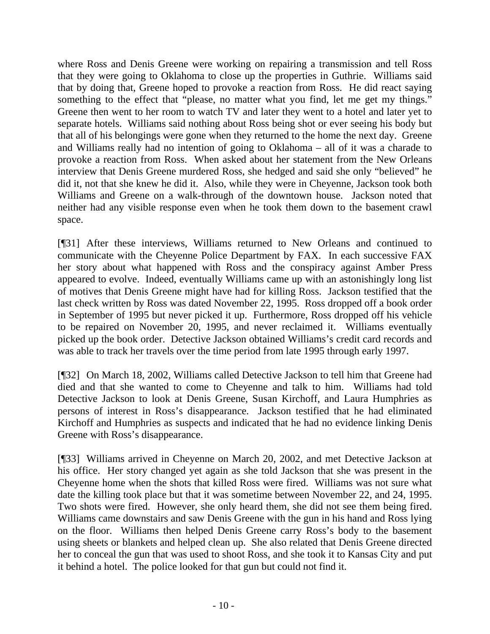where Ross and Denis Greene were working on repairing a transmission and tell Ross that they were going to Oklahoma to close up the properties in Guthrie. Williams said that by doing that, Greene hoped to provoke a reaction from Ross. He did react saying something to the effect that "please, no matter what you find, let me get my things." Greene then went to her room to watch TV and later they went to a hotel and later yet to separate hotels. Williams said nothing about Ross being shot or ever seeing his body but that all of his belongings were gone when they returned to the home the next day. Greene and Williams really had no intention of going to Oklahoma – all of it was a charade to provoke a reaction from Ross. When asked about her statement from the New Orleans interview that Denis Greene murdered Ross, she hedged and said she only "believed" he did it, not that she knew he did it. Also, while they were in Cheyenne, Jackson took both Williams and Greene on a walk-through of the downtown house. Jackson noted that neither had any visible response even when he took them down to the basement crawl space.

[¶31] After these interviews, Williams returned to New Orleans and continued to communicate with the Cheyenne Police Department by FAX. In each successive FAX her story about what happened with Ross and the conspiracy against Amber Press appeared to evolve. Indeed, eventually Williams came up with an astonishingly long list of motives that Denis Greene might have had for killing Ross. Jackson testified that the last check written by Ross was dated November 22, 1995. Ross dropped off a book order in September of 1995 but never picked it up. Furthermore, Ross dropped off his vehicle to be repaired on November 20, 1995, and never reclaimed it. Williams eventually picked up the book order. Detective Jackson obtained Williams's credit card records and was able to track her travels over the time period from late 1995 through early 1997.

[¶32] On March 18, 2002, Williams called Detective Jackson to tell him that Greene had died and that she wanted to come to Cheyenne and talk to him. Williams had told Detective Jackson to look at Denis Greene, Susan Kirchoff, and Laura Humphries as persons of interest in Ross's disappearance. Jackson testified that he had eliminated Kirchoff and Humphries as suspects and indicated that he had no evidence linking Denis Greene with Ross's disappearance.

[¶33] Williams arrived in Cheyenne on March 20, 2002, and met Detective Jackson at his office. Her story changed yet again as she told Jackson that she was present in the Cheyenne home when the shots that killed Ross were fired. Williams was not sure what date the killing took place but that it was sometime between November 22, and 24, 1995. Two shots were fired. However, she only heard them, she did not see them being fired. Williams came downstairs and saw Denis Greene with the gun in his hand and Ross lying on the floor. Williams then helped Denis Greene carry Ross's body to the basement using sheets or blankets and helped clean up. She also related that Denis Greene directed her to conceal the gun that was used to shoot Ross, and she took it to Kansas City and put it behind a hotel. The police looked for that gun but could not find it.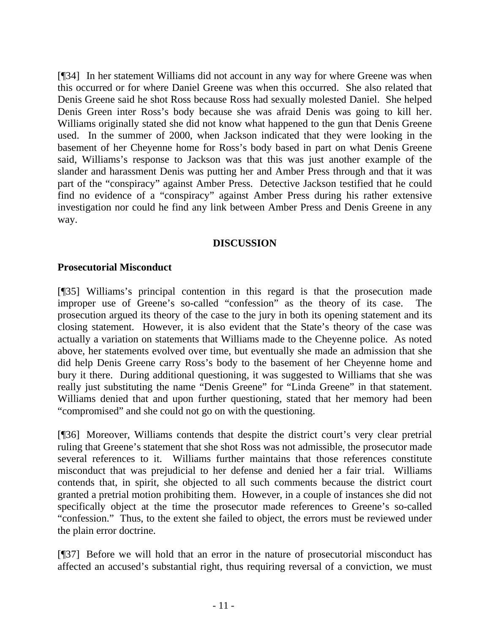[¶34] In her statement Williams did not account in any way for where Greene was when this occurred or for where Daniel Greene was when this occurred. She also related that Denis Greene said he shot Ross because Ross had sexually molested Daniel. She helped Denis Green inter Ross's body because she was afraid Denis was going to kill her. Williams originally stated she did not know what happened to the gun that Denis Greene used. In the summer of 2000, when Jackson indicated that they were looking in the basement of her Cheyenne home for Ross's body based in part on what Denis Greene said, Williams's response to Jackson was that this was just another example of the slander and harassment Denis was putting her and Amber Press through and that it was part of the "conspiracy" against Amber Press. Detective Jackson testified that he could find no evidence of a "conspiracy" against Amber Press during his rather extensive investigation nor could he find any link between Amber Press and Denis Greene in any way.

### **DISCUSSION**

## **Prosecutorial Misconduct**

[¶35] Williams's principal contention in this regard is that the prosecution made improper use of Greene's so-called "confession" as the theory of its case. The prosecution argued its theory of the case to the jury in both its opening statement and its closing statement. However, it is also evident that the State's theory of the case was actually a variation on statements that Williams made to the Cheyenne police. As noted above, her statements evolved over time, but eventually she made an admission that she did help Denis Greene carry Ross's body to the basement of her Cheyenne home and bury it there. During additional questioning, it was suggested to Williams that she was really just substituting the name "Denis Greene" for "Linda Greene" in that statement. Williams denied that and upon further questioning, stated that her memory had been "compromised" and she could not go on with the questioning.

[¶36] Moreover, Williams contends that despite the district court's very clear pretrial ruling that Greene's statement that she shot Ross was not admissible, the prosecutor made several references to it. Williams further maintains that those references constitute misconduct that was prejudicial to her defense and denied her a fair trial. Williams contends that, in spirit, she objected to all such comments because the district court granted a pretrial motion prohibiting them. However, in a couple of instances she did not specifically object at the time the prosecutor made references to Greene's so-called "confession." Thus, to the extent she failed to object, the errors must be reviewed under the plain error doctrine.

[¶37] Before we will hold that an error in the nature of prosecutorial misconduct has affected an accused's substantial right, thus requiring reversal of a conviction, we must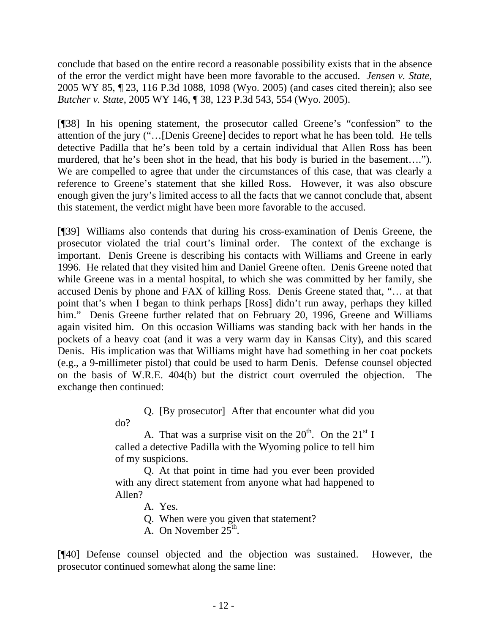conclude that based on the entire record a reasonable possibility exists that in the absence of the error the verdict might have been more favorable to the accused. *Jensen v. State*, 2005 WY 85, ¶ 23, 116 P.3d 1088, 1098 (Wyo. 2005) (and cases cited therein); also see *Butcher v. State*, 2005 WY 146, ¶ 38, 123 P.3d 543, 554 (Wyo. 2005).

[¶38] In his opening statement, the prosecutor called Greene's "confession" to the attention of the jury ("…[Denis Greene] decides to report what he has been told. He tells detective Padilla that he's been told by a certain individual that Allen Ross has been murdered, that he's been shot in the head, that his body is buried in the basement…."). We are compelled to agree that under the circumstances of this case, that was clearly a reference to Greene's statement that she killed Ross. However, it was also obscure enough given the jury's limited access to all the facts that we cannot conclude that, absent this statement, the verdict might have been more favorable to the accused.

[¶39] Williams also contends that during his cross-examination of Denis Greene, the prosecutor violated the trial court's liminal order. The context of the exchange is important. Denis Greene is describing his contacts with Williams and Greene in early 1996. He related that they visited him and Daniel Greene often. Denis Greene noted that while Greene was in a mental hospital, to which she was committed by her family, she accused Denis by phone and FAX of killing Ross. Denis Greene stated that, "… at that point that's when I began to think perhaps [Ross] didn't run away, perhaps they killed him." Denis Greene further related that on February 20, 1996, Greene and Williams again visited him. On this occasion Williams was standing back with her hands in the pockets of a heavy coat (and it was a very warm day in Kansas City), and this scared Denis. His implication was that Williams might have had something in her coat pockets (e.g., a 9-millimeter pistol) that could be used to harm Denis. Defense counsel objected on the basis of W.R.E. 404(b) but the district court overruled the objection. The exchange then continued:

> Q. [By prosecutor] After that encounter what did you do?

> A. That was a surprise visit on the  $20^{th}$ . On the  $21^{st}$  I called a detective Padilla with the Wyoming police to tell him of my suspicions.

> Q. At that point in time had you ever been provided with any direct statement from anyone what had happened to Allen?

A. Yes.

Q. When were you given that statement?

A. On November  $25<sup>th</sup>$ .

[¶40] Defense counsel objected and the objection was sustained. However, the prosecutor continued somewhat along the same line: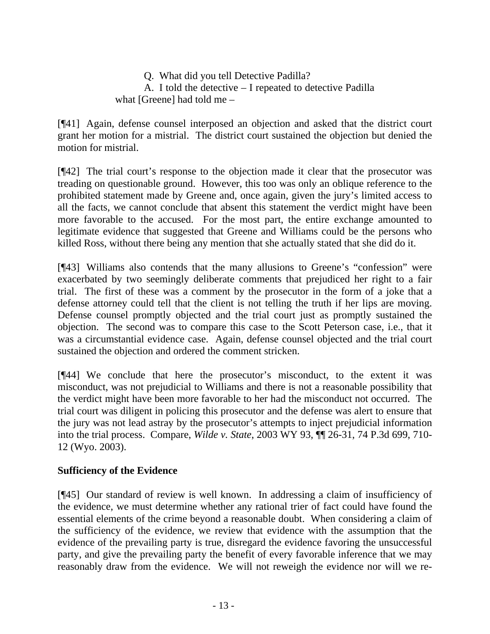Q. What did you tell Detective Padilla? A. I told the detective – I repeated to detective Padilla what [Greene] had told me –

[¶41] Again, defense counsel interposed an objection and asked that the district court grant her motion for a mistrial. The district court sustained the objection but denied the motion for mistrial.

[¶42] The trial court's response to the objection made it clear that the prosecutor was treading on questionable ground. However, this too was only an oblique reference to the prohibited statement made by Greene and, once again, given the jury's limited access to all the facts, we cannot conclude that absent this statement the verdict might have been more favorable to the accused. For the most part, the entire exchange amounted to legitimate evidence that suggested that Greene and Williams could be the persons who killed Ross, without there being any mention that she actually stated that she did do it.

[¶43] Williams also contends that the many allusions to Greene's "confession" were exacerbated by two seemingly deliberate comments that prejudiced her right to a fair trial. The first of these was a comment by the prosecutor in the form of a joke that a defense attorney could tell that the client is not telling the truth if her lips are moving. Defense counsel promptly objected and the trial court just as promptly sustained the objection. The second was to compare this case to the Scott Peterson case, i.e., that it was a circumstantial evidence case. Again, defense counsel objected and the trial court sustained the objection and ordered the comment stricken.

[¶44] We conclude that here the prosecutor's misconduct, to the extent it was misconduct, was not prejudicial to Williams and there is not a reasonable possibility that the verdict might have been more favorable to her had the misconduct not occurred. The trial court was diligent in policing this prosecutor and the defense was alert to ensure that the jury was not lead astray by the prosecutor's attempts to inject prejudicial information into the trial process. Compare, *Wilde v. State*, 2003 WY 93, ¶¶ 26-31, 74 P.3d 699, 710- 12 (Wyo. 2003).

# **Sufficiency of the Evidence**

[¶45] Our standard of review is well known. In addressing a claim of insufficiency of the evidence, we must determine whether any rational trier of fact could have found the essential elements of the crime beyond a reasonable doubt. When considering a claim of the sufficiency of the evidence, we review that evidence with the assumption that the evidence of the prevailing party is true, disregard the evidence favoring the unsuccessful party, and give the prevailing party the benefit of every favorable inference that we may reasonably draw from the evidence. We will not reweigh the evidence nor will we re